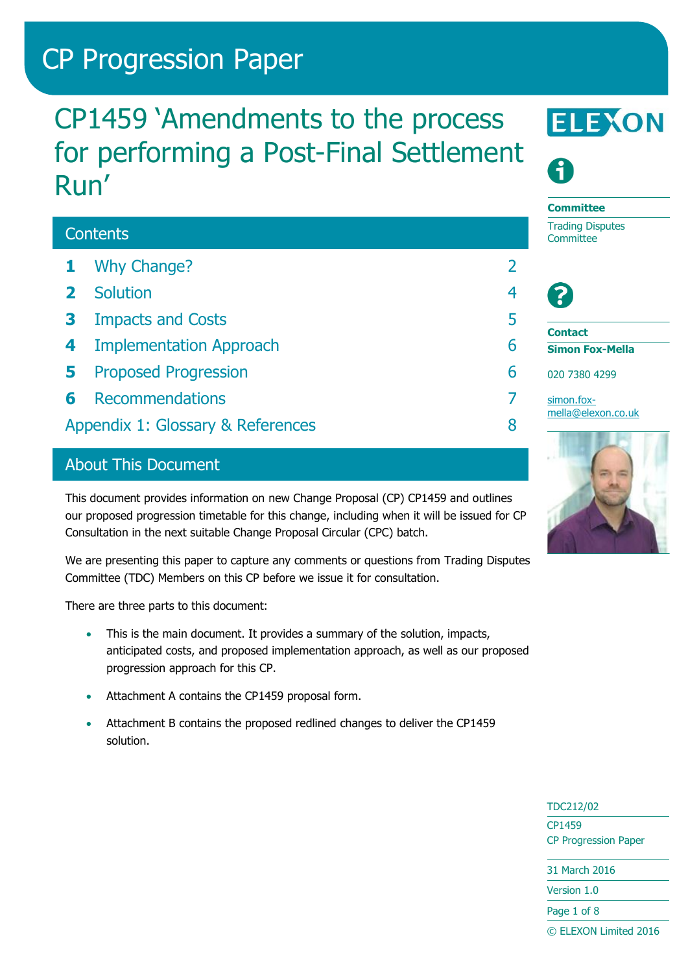# CP Progression Paper

# CP1459 'Amendments to the process for performing a Post-Final Settlement Run'

# **Contents**

- **1** [Why Change?](#page-1-0) 2
- **2** [Solution](#page-3-0) 4
- **3** [Impacts and Costs](#page-4-0) 5
- **4** [Implementation Approach](#page-5-0) 6
- **5** [Proposed Progression](#page-5-1) 6
- **6** [Recommendations](#page-6-0) 7
- [Appendix 1: Glossary & References](#page-7-0) 8

# About This Document

This document provides information on new Change Proposal (CP) CP1459 and outlines our proposed progression timetable for this change, including when it will be issued for CP Consultation in the next suitable Change Proposal Circular (CPC) batch.

We are presenting this paper to capture any comments or questions from Trading Disputes Committee (TDC) Members on this CP before we issue it for consultation.

There are three parts to this document:

- This is the main document. It provides a summary of the solution, impacts, anticipated costs, and proposed implementation approach, as well as our proposed progression approach for this CP.
- Attachment A contains the CP1459 proposal form.
- Attachment B contains the proposed redlined changes to deliver the CP1459 solution.





#### **Committee** Trading Disputes **Committee**



**Contact**

**Simon Fox-Mella**

020 7380 4299

[simon.fox](mailto:simon.fox-mella@elexon.co.uk)[mella@elexon.co.uk](mailto:simon.fox-mella@elexon.co.uk)



TDC212/02 CP1459

CP Progression Paper

31 March 2016

Version 1.0

Page 1 of 8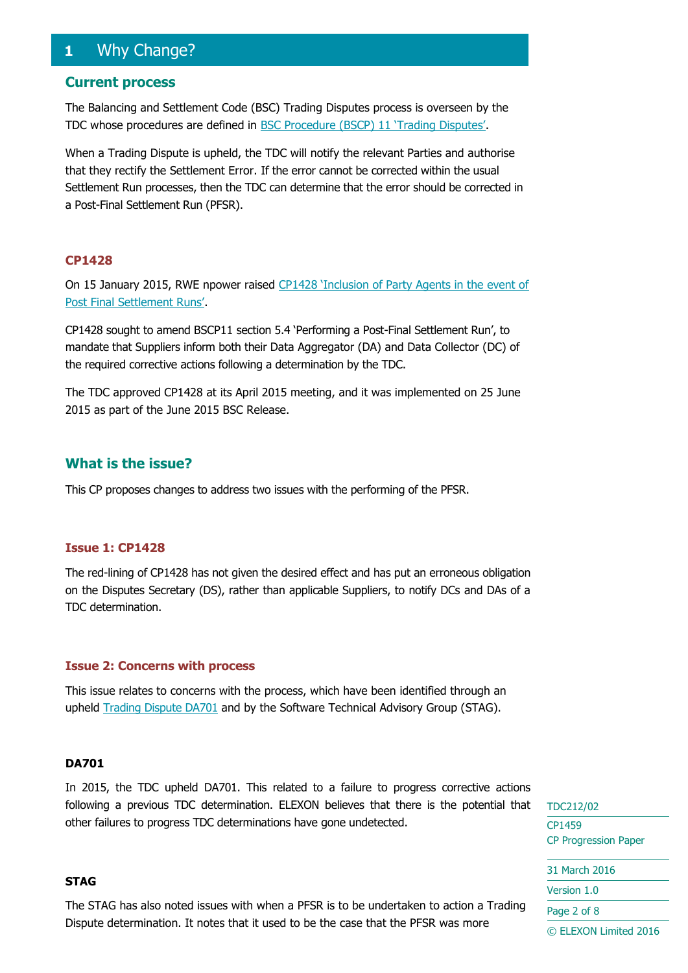# <span id="page-1-0"></span>**1** Why Change?

#### **Current process**

The Balancing and Settlement Code (BSC) Trading Disputes process is overseen by the TDC whose procedures are defined in BSC [Procedure \(BSCP\) 11 'Trading Disputes'](https://www.elexon.co.uk/bsc-related-documents/related-documents/bscps/).

When a Trading Dispute is upheld, the TDC will notify the relevant Parties and authorise that they rectify the Settlement Error. If the error cannot be corrected within the usual Settlement Run processes, then the TDC can determine that the error should be corrected in a Post-Final Settlement Run (PFSR).

#### **CP1428**

On 15 January 2015, RWE npower raised [CP1428 'Inclusion of Party Agents in the event of](https://www.elexon.co.uk/change-proposal/cp1428/)  [Post Final Settlement Runs'](https://www.elexon.co.uk/change-proposal/cp1428/).

CP1428 sought to amend BSCP11 section 5.4 'Performing a Post-Final Settlement Run', to mandate that Suppliers inform both their Data Aggregator (DA) and Data Collector (DC) of the required corrective actions following a determination by the TDC.

The TDC approved CP1428 at its April 2015 meeting, and it was implemented on 25 June 2015 as part of the June 2015 BSC Release.

#### **What is the issue?**

This CP proposes changes to address two issues with the performing of the PFSR.

#### **Issue 1: CP1428**

The red-lining of CP1428 has not given the desired effect and has put an erroneous obligation on the Disputes Secretary (DS), rather than applicable Suppliers, to notify DCs and DAs of a TDC determination.

#### **Issue 2: Concerns with process**

This issue relates to concerns with the process, which have been identified through an upheld [Trading Dispute DA701](https://www.elexon.co.uk/reference/technical-operations/dispute-decisions/) and by the Software Technical Advisory Group (STAG).

#### **DA701**

In 2015, the TDC upheld DA701. This related to a failure to progress corrective actions following a previous TDC determination. ELEXON believes that there is the potential that other failures to progress TDC determinations have gone undetected.

#### **STAG**

The STAG has also noted issues with when a PFSR is to be undertaken to action a Trading Dispute determination. It notes that it used to be the case that the PFSR was more

TDC212/02 CP1459 CP Progression Paper 31 March 2016 Version 1.0 Page 2 of 8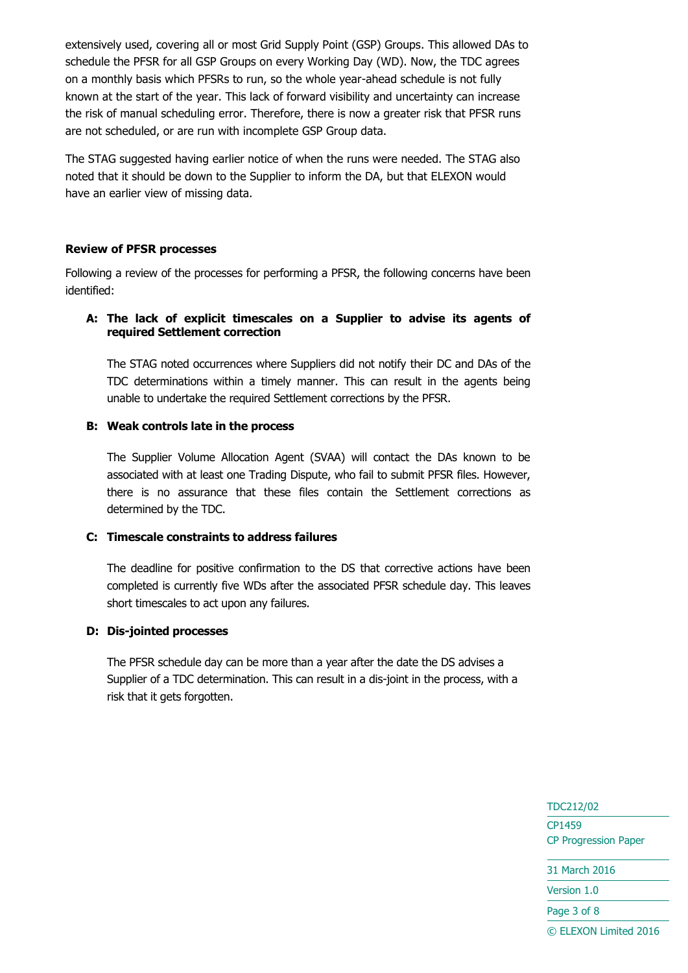extensively used, covering all or most Grid Supply Point (GSP) Groups. This allowed DAs to schedule the PFSR for all GSP Groups on every Working Day (WD). Now, the TDC agrees on a monthly basis which PFSRs to run, so the whole year-ahead schedule is not fully known at the start of the year. This lack of forward visibility and uncertainty can increase the risk of manual scheduling error. Therefore, there is now a greater risk that PFSR runs are not scheduled, or are run with incomplete GSP Group data.

The STAG suggested having earlier notice of when the runs were needed. The STAG also noted that it should be down to the Supplier to inform the DA, but that ELEXON would have an earlier view of missing data.

#### **Review of PFSR processes**

Following a review of the processes for performing a PFSR, the following concerns have been identified:

#### **A: The lack of explicit timescales on a Supplier to advise its agents of required Settlement correction**

The STAG noted occurrences where Suppliers did not notify their DC and DAs of the TDC determinations within a timely manner. This can result in the agents being unable to undertake the required Settlement corrections by the PFSR.

#### **B: Weak controls late in the process**

The Supplier Volume Allocation Agent (SVAA) will contact the DAs known to be associated with at least one Trading Dispute, who fail to submit PFSR files. However, there is no assurance that these files contain the Settlement corrections as determined by the TDC.

#### **C: Timescale constraints to address failures**

The deadline for positive confirmation to the DS that corrective actions have been completed is currently five WDs after the associated PFSR schedule day. This leaves short timescales to act upon any failures.

#### **D: Dis-jointed processes**

The PFSR schedule day can be more than a year after the date the DS advises a Supplier of a TDC determination. This can result in a dis-joint in the process, with a risk that it gets forgotten.

> TDC212/02 CP1459 CP Progression Paper 31 March 2016 Version 1.0

Page 3 of 8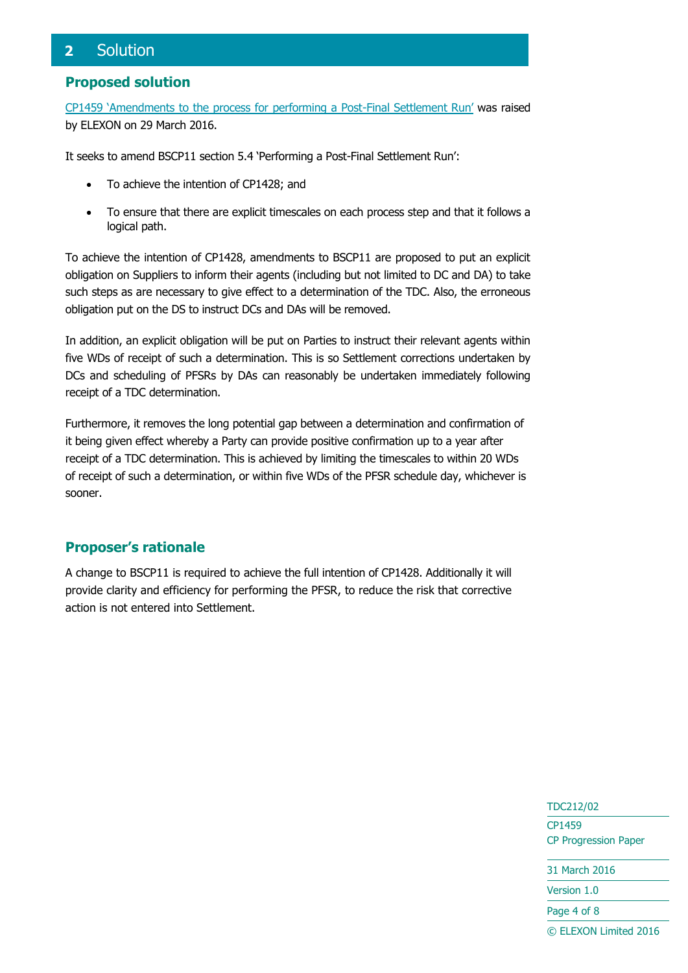# <span id="page-3-0"></span>**2** Solution

#### **Proposed solution**

[CP1459 'Amendments to the process for performing a Post](https://www.elexon.co.uk/change-proposal/cp1459/)-Final Settlement Run' was raised by ELEXON on 29 March 2016.

It seeks to amend BSCP11 section 5.4 'Performing a Post-Final Settlement Run':

- To achieve the intention of CP1428; and
- To ensure that there are explicit timescales on each process step and that it follows a logical path.

To achieve the intention of CP1428, amendments to BSCP11 are proposed to put an explicit obligation on Suppliers to inform their agents (including but not limited to DC and DA) to take such steps as are necessary to give effect to a determination of the TDC. Also, the erroneous obligation put on the DS to instruct DCs and DAs will be removed.

In addition, an explicit obligation will be put on Parties to instruct their relevant agents within five WDs of receipt of such a determination. This is so Settlement corrections undertaken by DCs and scheduling of PFSRs by DAs can reasonably be undertaken immediately following receipt of a TDC determination.

Furthermore, it removes the long potential gap between a determination and confirmation of it being given effect whereby a Party can provide positive confirmation up to a year after receipt of a TDC determination. This is achieved by limiting the timescales to within 20 WDs of receipt of such a determination, or within five WDs of the PFSR schedule day, whichever is sooner.

#### **Proposer's rationale**

A change to BSCP11 is required to achieve the full intention of CP1428. Additionally it will provide clarity and efficiency for performing the PFSR, to reduce the risk that corrective action is not entered into Settlement.

> TDC212/02 CP1459 CP Progression Paper

31 March 2016

Version 1.0

Page 4 of 8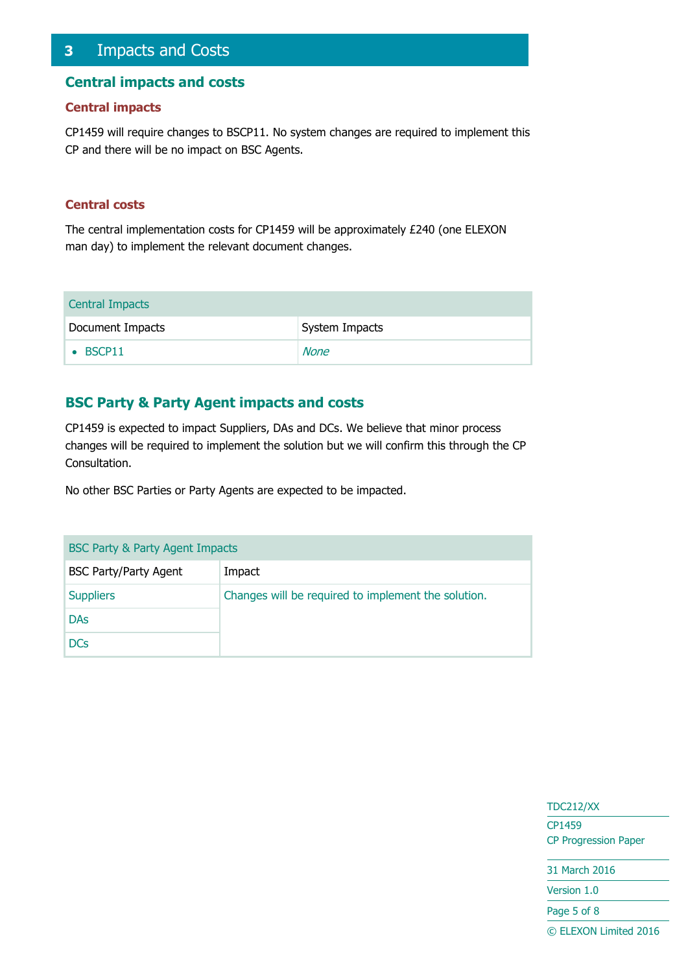## <span id="page-4-0"></span>**3** Impacts and Costs

#### **Central impacts and costs**

#### **Central impacts**

CP1459 will require changes to BSCP11. No system changes are required to implement this CP and there will be no impact on BSC Agents.

#### **Central costs**

The central implementation costs for CP1459 will be approximately £240 (one ELEXON man day) to implement the relevant document changes.

| <b>Central Impacts</b> |                |
|------------------------|----------------|
| Document Impacts       | System Impacts |
| $\bullet$ BSCP11       | None           |

#### **BSC Party & Party Agent impacts and costs**

CP1459 is expected to impact Suppliers, DAs and DCs. We believe that minor process changes will be required to implement the solution but we will confirm this through the CP Consultation.

No other BSC Parties or Party Agents are expected to be impacted.

| BSC Party & Party Agent Impacts |                                                     |  |  |
|---------------------------------|-----------------------------------------------------|--|--|
| <b>BSC Party/Party Agent</b>    | Impact                                              |  |  |
| <b>Suppliers</b>                | Changes will be required to implement the solution. |  |  |
| <b>DAs</b>                      |                                                     |  |  |
| <b>DCs</b>                      |                                                     |  |  |

TDC212/XX CP1459 CP Progression Paper 31 March 2016

Version 1.0

Page 5 of 8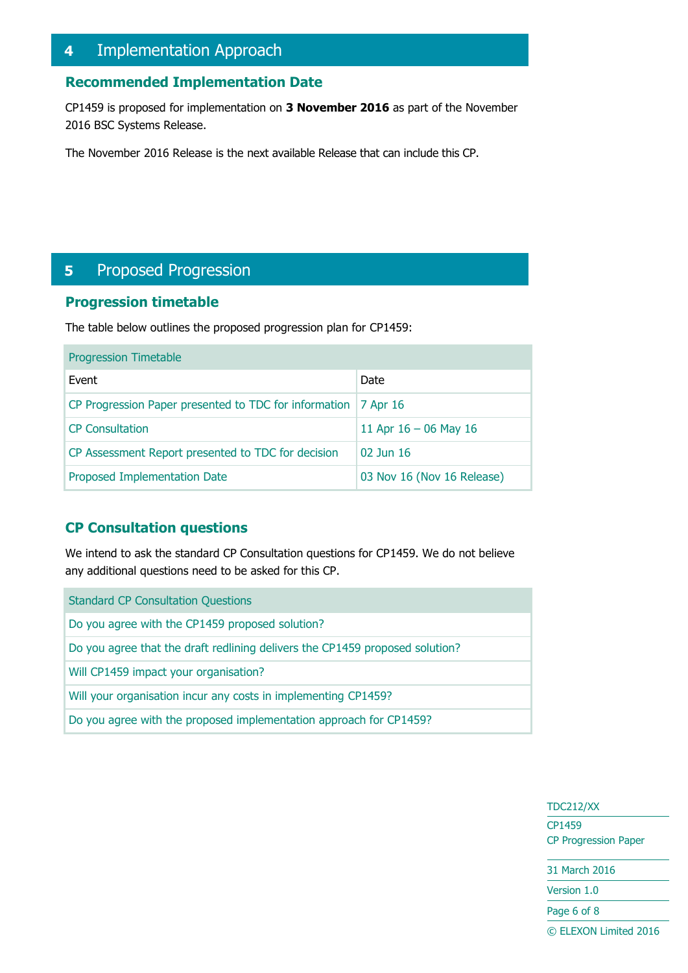# <span id="page-5-0"></span>**4** Implementation Approach

# **Recommended Implementation Date**

CP1459 is proposed for implementation on **3 November 2016** as part of the November 2016 BSC Systems Release.

The November 2016 Release is the next available Release that can include this CP.

# <span id="page-5-1"></span>**5** Proposed Progression

#### **Progression timetable**

The table below outlines the proposed progression plan for CP1459:

| <b>Progression Timetable</b>                                     |                            |  |  |
|------------------------------------------------------------------|----------------------------|--|--|
| Event                                                            | Date                       |  |  |
| CP Progression Paper presented to TDC for information   7 Apr 16 |                            |  |  |
| <b>CP Consultation</b>                                           | 11 Apr $16 - 06$ May 16    |  |  |
| CP Assessment Report presented to TDC for decision               | $02$ Jun 16                |  |  |
| Proposed Implementation Date                                     | 03 Nov 16 (Nov 16 Release) |  |  |

#### **CP Consultation questions**

We intend to ask the standard CP Consultation questions for CP1459. We do not believe any additional questions need to be asked for this CP.

| <b>Standard CP Consultation Questions</b>                                    |
|------------------------------------------------------------------------------|
| Do you agree with the CP1459 proposed solution?                              |
| Do you agree that the draft redlining delivers the CP1459 proposed solution? |
| Will CP1459 impact your organisation?                                        |
| Will your organisation incur any costs in implementing CP1459?               |
| Do you agree with the proposed implementation approach for CP1459?           |
|                                                                              |

TDC212/XX CP1459 CP Progression Paper 31 March 2016

Version 1.0

Page 6 of 8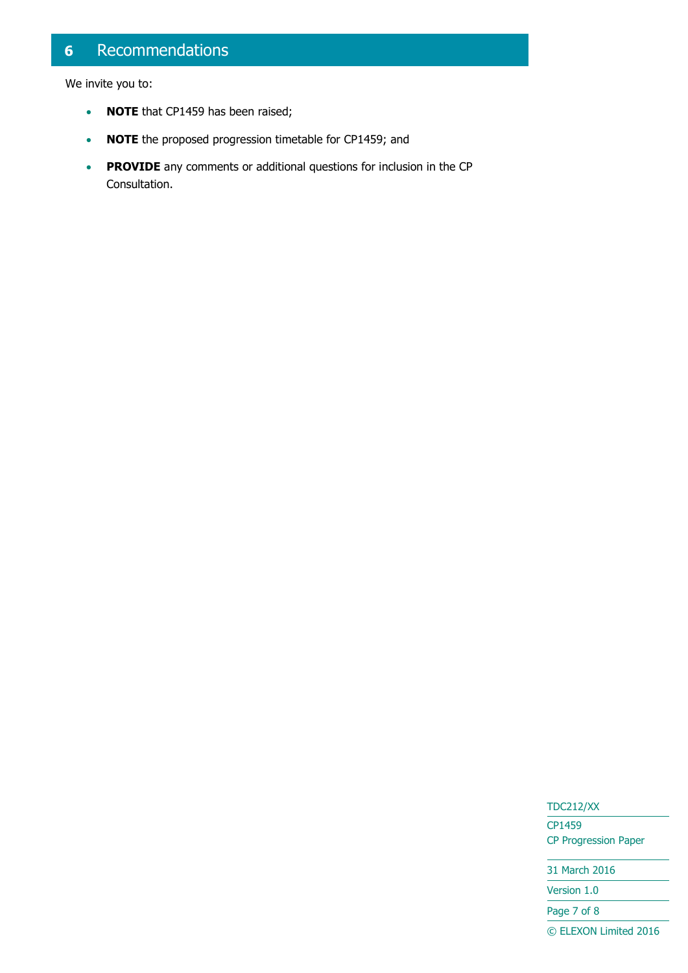# <span id="page-6-0"></span>**6** Recommendations

We invite you to:

- **NOTE** that CP1459 has been raised;
- **NOTE** the proposed progression timetable for CP1459; and
- **PROVIDE** any comments or additional questions for inclusion in the CP Consultation.

#### TDC212/XX

CP1459 CP Progression Paper

31 March 2016

Version 1.0

Page 7 of 8